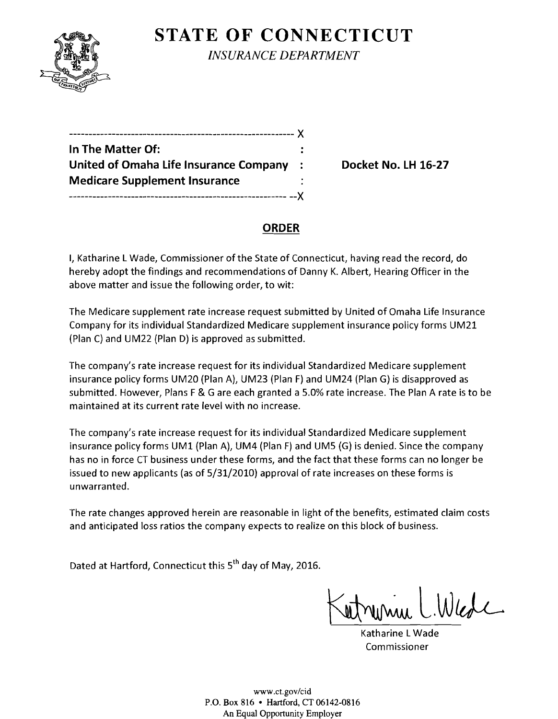

**STATE OF CONNECTICUT** *INSURANCE DEPARTMENT* 

| In The Matter Of:                      |  |
|----------------------------------------|--|
| United of Omaha Life Insurance Company |  |
| <b>Medicare Supplement Insurance</b>   |  |
|                                        |  |

**Docket No. LH 16-27** 

## **ORDER**

I, Katharine L Wade, Commissioner of the State of Connecticut, having read the record, do hereby adopt the findings and recommendations of Danny K. Albert, Hearing Officer in the above matter and issue the following order, to wit:

The Medicare supplement rate increase request submitted by United of Omaha Life Insurance Company for its individual Standardized Medicare supplement insurance policy forms UM21 (Plan C) and UM22 (Plan D) is approved as submitted.

The company's rate increase request for its individual Standardized Medicare supplement insurance policy forms UM20 (Plan A), UM23 (Plan F) and UM24 (Plan G) is disapproved as submitted. However, Plans F & G are each granted a *5.0%* rate increase. The Plan A rate is to be maintained at its current rate level with no increase.

The company's rate increase request for its individual Standardized Medicare supplement insurance policy forms UM1 (Plan A), UM4 (Plan F) and UM5 (G) is denied. Since the company has no in force CT business under these forms, and the fact that these forms can no longer be issued to new applicants (as of *5/31/2010)* approval of rate increases on these forms is unwarranted.

The rate changes approved herein are reasonable in light of the benefits, estimated claim costs and anticipated loss ratios the company expects to realize on this block of business.

Dated at Hartford, Connecticut this s" day of May, *2016.* 

Katharine LWade Commissioner

www.ct.gov/cid P.O. Box 816 • Hartford, CT 06142-0816 An Equal Opportunity Employer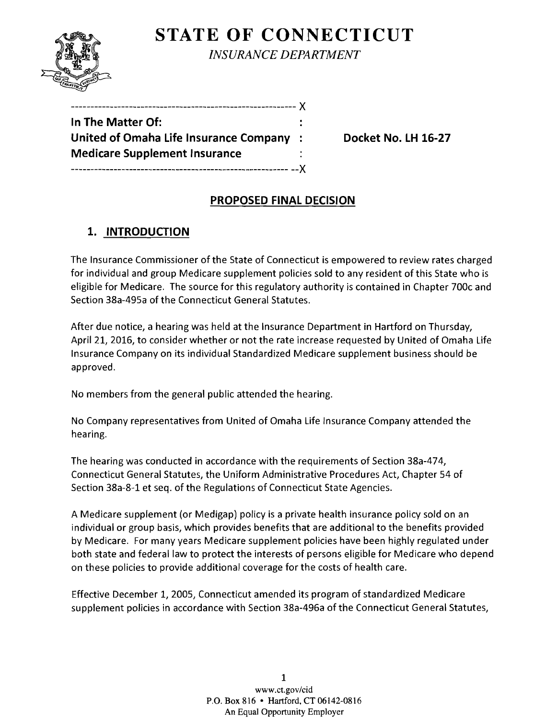

**STATE OF CONNECTICUT** *INSURANCE DEPARTMENT* 

| In The Matter Of:                       |  |
|-----------------------------------------|--|
| United of Omaha Life Insurance Company: |  |
| <b>Medicare Supplement Insurance</b>    |  |
|                                         |  |

**United of Omaha Life Insurance Company** : **Docket No. LH 16-27** 

### **PROPOSED FINAL DECISION**

# **1. INTRODUCTION**

The Insurance Commissioner of the State of Connecticut is empowered to review rates charged for individual and group Medicare supplement policies sold to any resident of this State who is eligible for Medicare. The source for this regulatory authority is contained in Chapter 700c and Section 38a-495a of the Connecticut General Statutes.

After due notice, a hearing was held at the Insurance Department in Hartford on Thursday, April 21, 2016, to consider whether or not the rate increase requested by United of Omaha Life Insurance Company on its individual Standardized Medicare supplement business should be approved.

No members from the general public attended the hearing.

No Company representatives from United of Omaha Life Insurance Company attended the hearing.

The hearing was conducted in accordance with the requirements of Section 38a-474, Connecticut General Statutes, the Uniform Administrative Procedures Act, Chapter 54 of Section 38a-8-1 et seq. of the Regulations of Connecticut State Agencies.

A Medicare supplement (or Medigap) policy is a private health insurance policy sold on an individual or group basis, which provides benefits that are additional to the benefits provided by Medicare. For many years Medicare supplement policies have been highly regulated under both state and federal law to protect the interests of persons eligible for Medicare who depend on these policies to provide additional coverage for the costs of health care.

Effective December 1, 2005, Connecticut amended its program of standardized Medicare supplement policies in accordance with Section 38a-496a of the Connecticut General Statutes,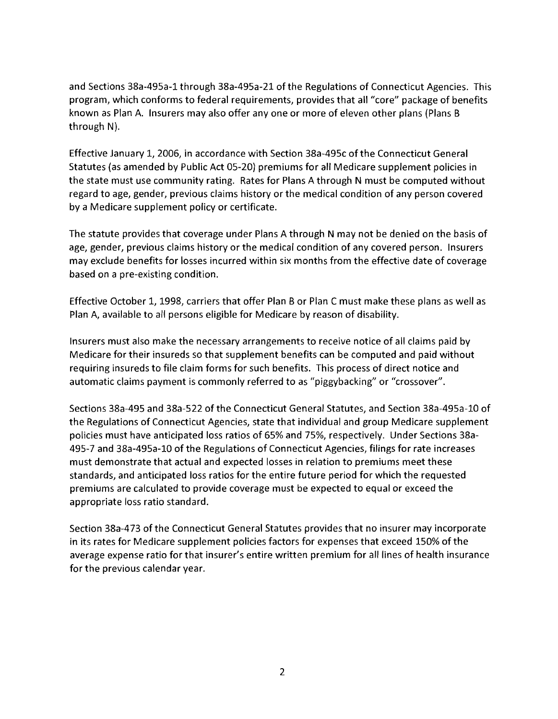and Sections 38a-495a-1 through 38a-495a-21 of the Regulations of Connecticut Agencies. This program, which conforms to federal requirements, provides that all "core" package of benefits known as Plan A. Insurers may also offer anyone or more of eleven other plans (Plans B through  $N$ ).

Effective January 1, 2006, in accordance with Section 38a-495c of the Connecticut General Statutes (as amended by Public Act 05-20) premiums for all Medicare supplement policies in the state must use community rating. Rates for Plans A through N must be computed without regard to age, gender, previous claims history or the medical condition of any person covered by a Medicare supplement policy or certificate.

The statute provides that coverage under Plans A through N may not be denied on the basis of age, gender, previous claims history or the medical condition of any covered person. Insurers may exclude benefits for losses incurred within six months from the effective date of coverage based on a pre-existing condition.

Effective October 1, 1998, carriers that offer Plan B or Plan C must make these plans as well as Plan A, available to all persons eligible for Medicare by reason of disability.

Insurers must also make the necessary arrangements to receive notice of all claims paid by Medicare for their insureds so that supplement benefits can be computed and paid without requiring insureds to file claim forms for such benefits. This process of direct notice and automatic claims payment is commonly referred to as "piggybacking" or "crossover".

Sections 38a-495 and 38a-522 of the Connecticut General Statutes, and Section 38a-495a-10 of the Regulations of Connecticut Agencies, state that individual and group Medicare supplement policies must have anticipated loss ratios of 65% and 75%, respectively. Under Sections 38a-495-7 and 38a-495a-10 of the Regulations of Connecticut Agencies, filings for rate increases must demonstrate that actual and expected losses in relation to premiums meet these standards, and anticipated loss ratios for the entire future period for which the requested premiums are calculated to provide coverage must be expected to equal or exceed the appropriate loss ratio standard.

Section 38a-473 of the Connecticut General Statutes provides that no insurer may incorporate in its rates for Medicare supplement policies factors for expenses that exceed 150% of the average expense ratio for that insurer's entire written premium for all lines of health insurance for the previous calendar year.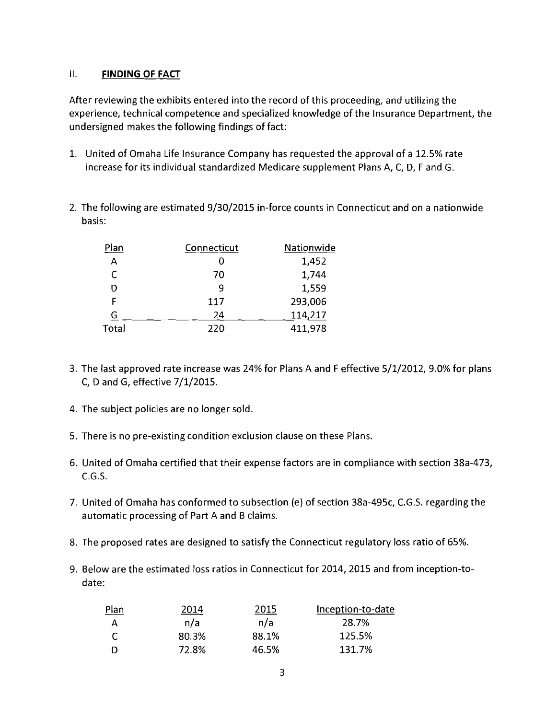### II. **FINDING OF FACT**

After reviewing the exhibits entered into the record of this proceeding, and utilizing the experience, technical competence and specialized knowledge of the Insurance Department, the undersigned makes the following findings of fact:

- 1. United of Omaha Life Insurance Company has requested the approval of a 12.5% rate increase for its individual standardized Medicare supplement Plans A, C, 0, F and G.
- 2. The following are estimated 9/30/2015 in-force counts in Connecticut and on a nationwide basis:

| Plan  | Connecticut | Nationwide |
|-------|-------------|------------|
| A     |             | 1,452      |
| C     | 70          | 1,744      |
| D     | q           | 1,559      |
| F     | 117         | 293,006    |
| G     | 24          | 114,217    |
| Total | 220         | 411,978    |

- 3. The last approved rate increase was 24% for Plans A and F effective 5/1/2012, 9.0% for plans C, 0 and G, effective 7/1/2015.
- 4. The subject policies are no longer sold.
- 5. There is no pre-existing condition exclusion clause on these Plans.
- 6. United of Omaha certified that their expense factors are in compliance with section 38a-473,  $C.G.S.$
- 7. United of Omaha has conformed to subsection (e) of section 38a-495c, c.G.5. regarding the automatic processing of Part A and B claims.
- 8. The proposed rates are designed to satisfy the Connecticut regulatory loss ratio of 65%.
- 9. Below are the estimated loss ratios in Connecticut for 2014, 2015 and from inception-todate:

| <b>Plan</b> | 2014  | 2015  | Inception-to-date |
|-------------|-------|-------|-------------------|
|             | n/a   | n/a   | 28.7%             |
|             | 80.3% | 88.1% | 125.5%            |
|             | 72.8% | 46.5% | 131.7%            |